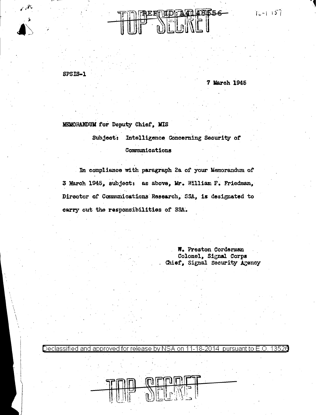$T_{L-1}$  157



SPSIS-1

<u>Declassified and</u>

 $\hat{\mathcal{N}}$ 

7 March 1945

MEMORANDUM for Deputy Chief, MIS

Subject: Intelligence Concerning Security of Communications

In compliance with paragraph 2a of your Memorandum of 3 March 1945, subject: as above, Mr. William F. Friedman, Director of Communications Research, SSA, is designated to carry out the responsibilities of SSA.

> W. Preston Corderman Colonel, Signal Corps Chief, Signal Security Agency

approved for release by NSA on 11-18-2014 pursuant to E.O. 13526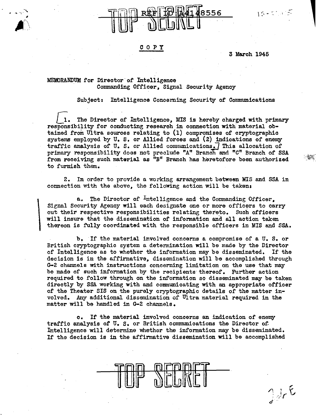## COPY

3 March 1946

 $1.5 - 5.1$  and  $5.$ 

 $J_{dr}$ E

## MEMORANDUM for Director of Intelligence Commanding Officer, Signal Security Agency

\

Subject: Intelligence Concerning Security of Communications

The Director of Intelligence, MIS is hereby charged with primary responsibility for conducting research in connection with material obtained from Ultra sources relating to  $(1)$  compromises of cryptographic systems employed by U.S. or Allied forces and (2) indications of enemy traffic analysis of  $U$ . S. or Allied communications. This allocation of primary responsibility does not preclude "A" Branoh end "C" Branch of SSA from receiving such material as  ${}^{n}B^{n}$  Branch has heretofore been authorized to furnish them.

2. In order to provide a working arrangement between MIS and SSA in connection with the above. the following action will be taken:

a. The Director of Intelligence and the Commanding Officer. Signal Security Agency will each designate one or more officers to carry out their respective responsibilities relating thereto. Such officers will insure that the dissemination of infonnation and all action taken thereon is fully coordinated with the responsible officers in MIS and SSA.

b. If the material involved concerns a compromise of a U.S. or British cryptographic system a detennination will be made by the Director of Intelligence as to whether the information may be disseminated. If the decision is in the affirmative. dissemination will be accomplished through G-2 channels with instructions concerning limitation on the use that may be made of such information by the recipients thereof. Further action required to follow through on the information so disseminated may be taken directly by SSA working with and communicating with an appropriate officer of the Theater SIS on the purely cryptographic details of the matter involved. Any additional dissemination of Ultra material required in the matter will be handled in G-2 channels.

o. If' the material involved concerns an indication of enemy traffic analysis of  $U_5$ . S. or British communications the Director of Intelligence will determine whether the information may be disseminated. If the decision is in the affirmative dissemination will be accomplished